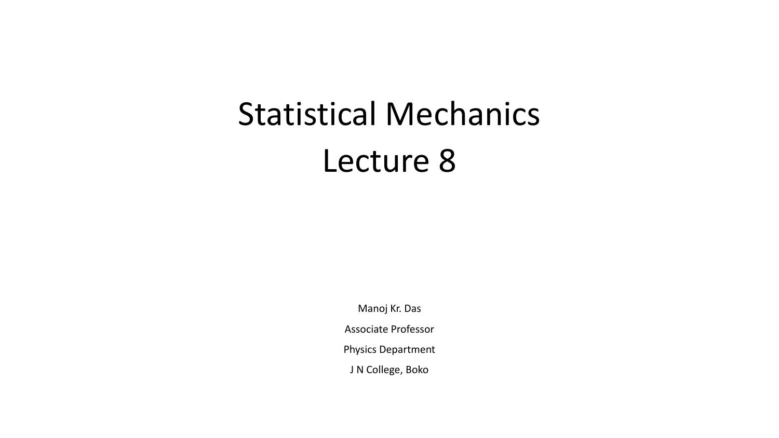# Statistical Mechanics Lecture 8

Manoj Kr. Das Associate Professor Physics Department J N College, Boko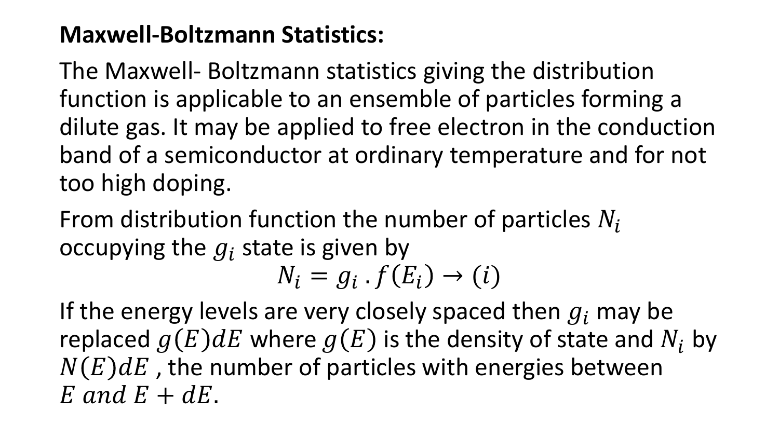### **Maxwell-Boltzmann Statistics:**

The Maxwell- Boltzmann statistics giving the distribution function is applicable to an ensemble of particles forming a dilute gas. It may be applied to free electron in the conduction band of a semiconductor at ordinary temperature and for not too high doping.

From distribution function the number of particles  $N_i$ occupying the  $g_i$  state is given by

 $N_i = g_i \cdot f(E_i) \rightarrow (i)$ 

If the energy levels are very closely spaced then  $g_i$  may be replaced  $q(E)dE$  where  $q(E)$  is the density of state and  $N_i$  by  $N(E)dE$ , the number of particles with energies between  $E$  and  $E + dE$ .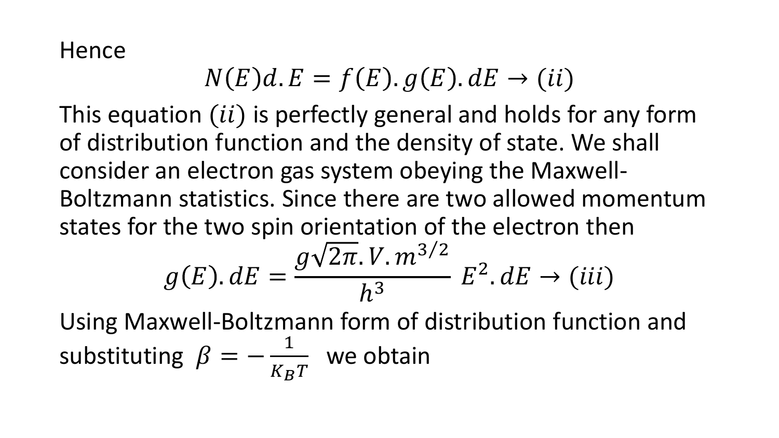Hence

### $N(E)dE = f(E)$ .  $g(E)$ .  $dE \rightarrow (ii)$

This equation (ii) is perfectly general and holds for any form of distribution function and the density of state. We shall consider an electron gas system obeying the Maxwell-Boltzmann statistics. Since there are two allowed momentum states for the two spin orientation of the electron then

$$
g(E). dE = \frac{g\sqrt{2\pi}.V.m^{3/2}}{h^3}E^2.dE \rightarrow (iii)
$$

Using Maxwell-Boltzmann form of distribution function and substituting  $\beta = -\frac{1}{K_B T}$  we obtain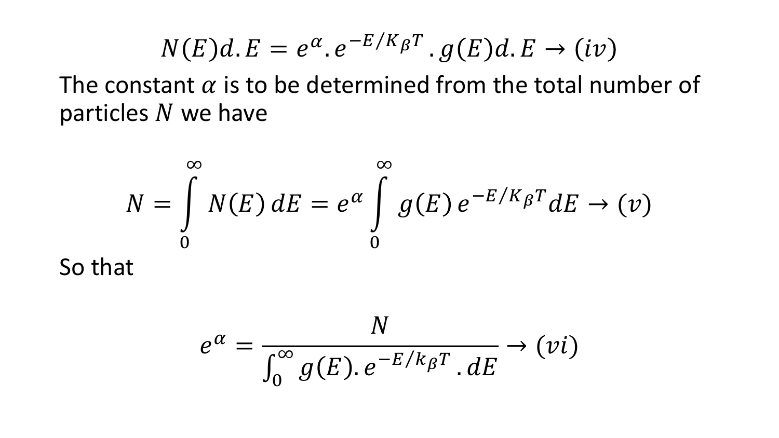$$
N(E)d.E = e^{\alpha}.e^{-E/K_{\beta}T}.g(E)d.E \rightarrow (iv)
$$

The constant  $\alpha$  is to be determined from the total number of particles  $N$  we have

$$
N = \int_{0}^{\infty} N(E) dE = e^{\alpha} \int_{0}^{\infty} g(E) e^{-E/K_{\beta}T} dE \to (v)
$$
  
So that

 $e^{\alpha} =$  $\overline{N}$  $\int_0$ ∞  $g(E)$ .  $e^{-E/k_{\beta}T}$  .  $dE$  $\rightarrow (vi)$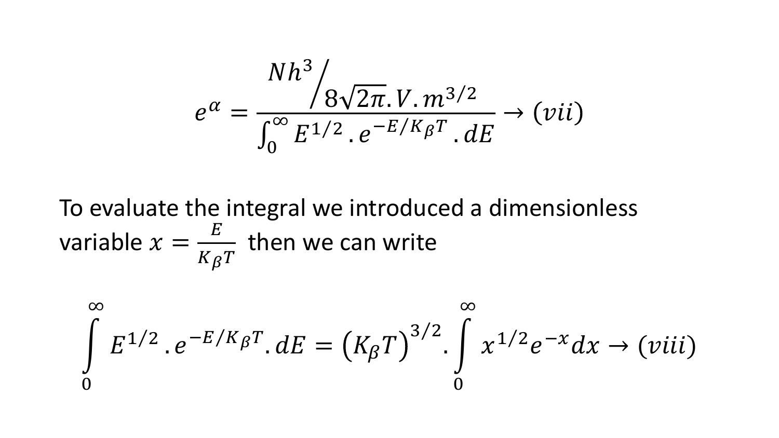$$
e^{\alpha} = \frac{Nh^3}{\int_0^{\infty} E^{1/2} \cdot e^{-E/K_{\beta}T} \cdot dE} \rightarrow (vii)
$$

To evaluate the integral we introduced a dimensionless variable  $x = \frac{E}{K_{\beta}T}$  then we can write

$$
\int_{0}^{\infty} E^{1/2} \cdot e^{-E/K_{\beta}T} \cdot dE = (K_{\beta}T)^{3/2} \cdot \int_{0}^{\infty} x^{1/2} e^{-x} dx \to (viii)
$$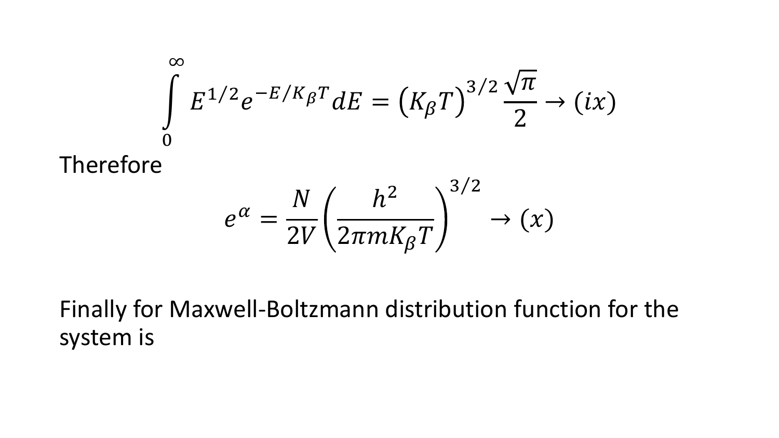$$
\int_{0}^{\infty} E^{1/2} e^{-E/K_{\beta}T} dE = (K_{\beta}T)^{3/2} \frac{\sqrt{\pi}}{2} \to (ix)
$$
  
Therefore  

$$
e^{\alpha} = \frac{N}{2V} \left(\frac{h^2}{2\pi m K_{\beta}T}\right)^{3/2} \to (x)
$$

Finally for Maxwell-Boltzmann distribution function for the system is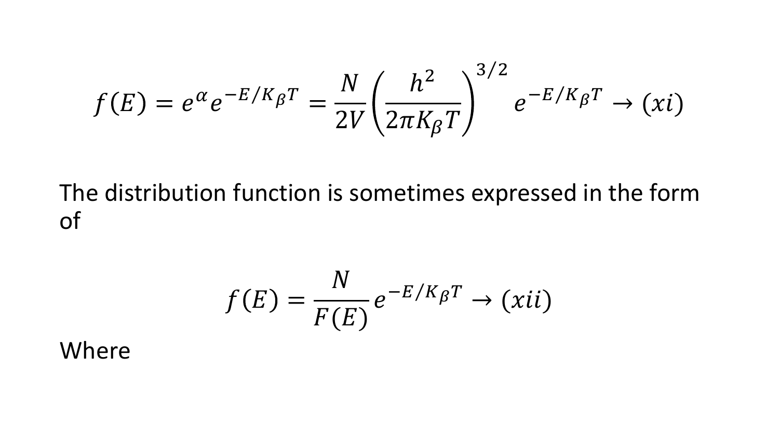$$
f(E) = e^{\alpha} e^{-E/K_{\beta}T} = \frac{N}{2V} \left(\frac{h^2}{2\pi K_{\beta}T}\right)^{3/2} e^{-E/K_{\beta}T} \to (xi)
$$

The distribution function is sometimes expressed in the form of

$$
f(E) = \frac{N}{F(E)} e^{-E/K_{\beta}T} \to (xii)
$$

#### Where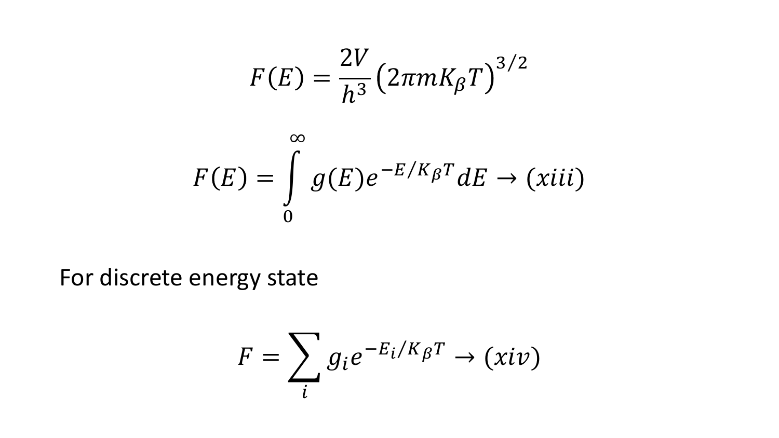$$
F(E) = \frac{2V}{h^3} (2\pi mK_{\beta}T)^{3/2}
$$

$$
F(E) = \int_{0}^{\infty} g(E)e^{-E/K_{\beta}T} dE \rightarrow (xiii)
$$

For discrete energy state

$$
F = \sum_{i} g_i e^{-E_i/K_{\beta}T} \rightarrow (xiv)
$$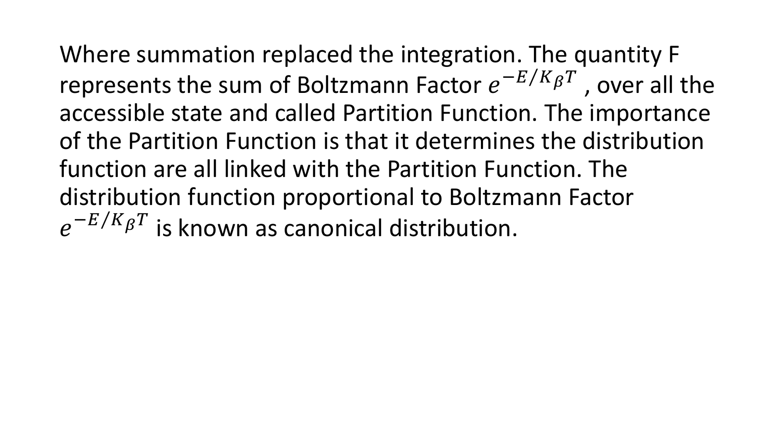Where summation replaced the integration. The quantity F represents the sum of Boltzmann Factor  $e^{-E/K_{\beta}T}$ , over all the accessible state and called Partition Function. The importance of the Partition Function is that it determines the distribution function are all linked with the Partition Function. The distribution function proportional to Boltzmann Factor  $e^{-E/K_{\beta}T}$ is known as canonical distribution.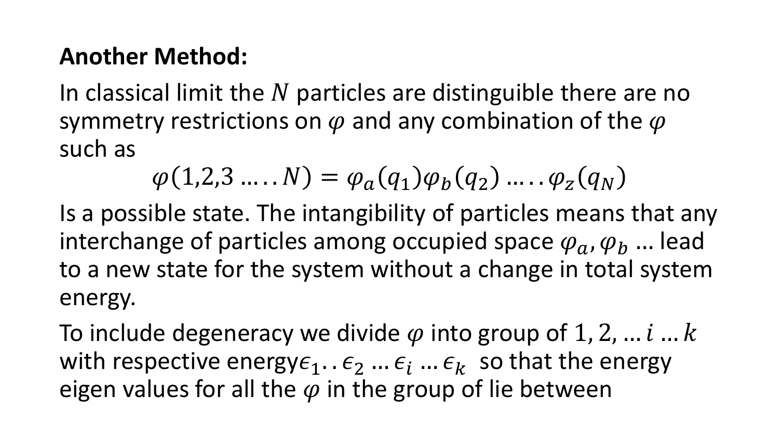#### **Another Method:**

In classical limit the  $N$  particles are distinguible there are no symmetry restrictions on  $\varphi$  and any combination of the  $\varphi$ such as

$$
\varphi(1,2,3\ldots N)=\varphi_a(q_1)\varphi_b(q_2)\ldots\varphi_z(q_N)
$$

Is a possible state. The intangibility of particles means that any interchange of particles among occupied space  $\varphi_a$ ,  $\varphi_b$  ... lead to a new state for the system without a change in total system energy.

To include degeneracy we divide  $\varphi$  into group of 1, 2, ...  $i...k$ with respective energy $\epsilon_1$ ..  $\epsilon_2$  ...  $\epsilon_i$  ...  $\epsilon_k$  so that the energy eigen values for all the  $\varphi$  in the group of lie between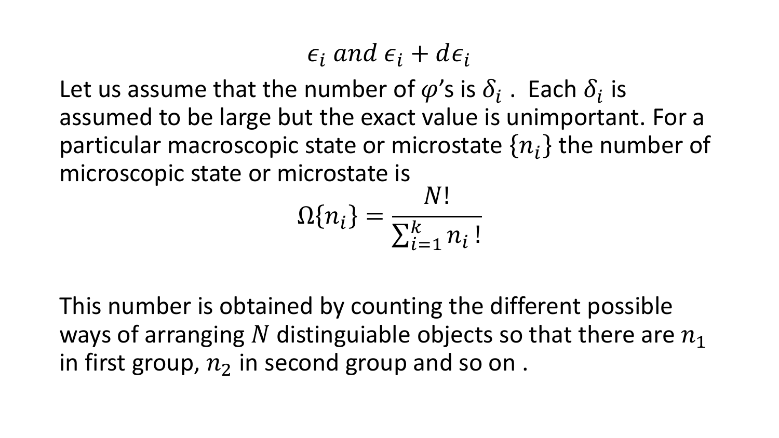### $\epsilon_i$  and  $\epsilon_i$  +  $d\epsilon_i$

Let us assume that the number of  $\varphi$ 's is  $\delta_i$ . Each  $\delta_i$  is assumed to be large but the exact value is unimportant. For a particular macroscopic state or microstate  $\{n_i\}$  the number of microscopic state or microstate is

$$
\Omega\{n_i\} = \frac{N!}{\sum_{i=1}^k n_i!}
$$

This number is obtained by counting the different possible ways of arranging N distinguiable objects so that there are  $n_1$ in first group,  $n_2$  in second group and so on.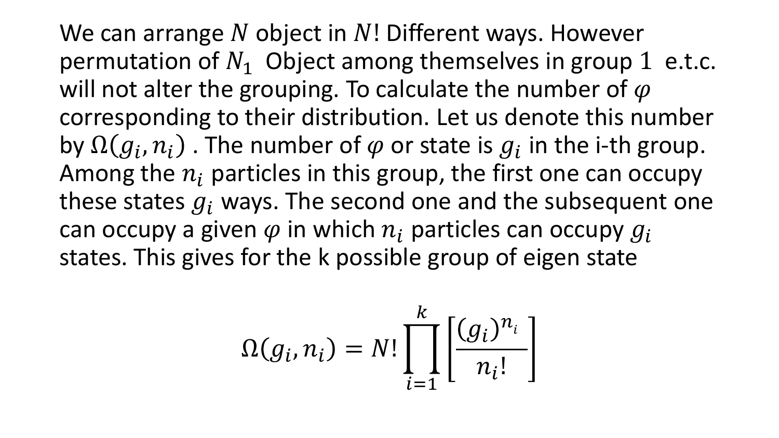We can arrange N object in  $N!$  Different ways. However permutation of  $N_1$  Object among themselves in group 1 e.t.c. will not alter the grouping. To calculate the number of  $\varphi$ corresponding to their distribution. Let us denote this number by  $\Omega(g_i, n_i)$  . The number of  $\varphi$  or state is  $g_i$  in the i-th group. Among the  $n_i$  particles in this group, the first one can occupy these states  $q_i$  ways. The second one and the subsequent one can occupy a given  $\varphi$  in which  $n_i$  particles can occupy  $g_i$ states. This gives for the k possible group of eigen state

$$
\Omega(g_i, n_i) = N! \prod_{i=1}^k \left[ \frac{(g_i)^{n_i}}{n_i!} \right]
$$